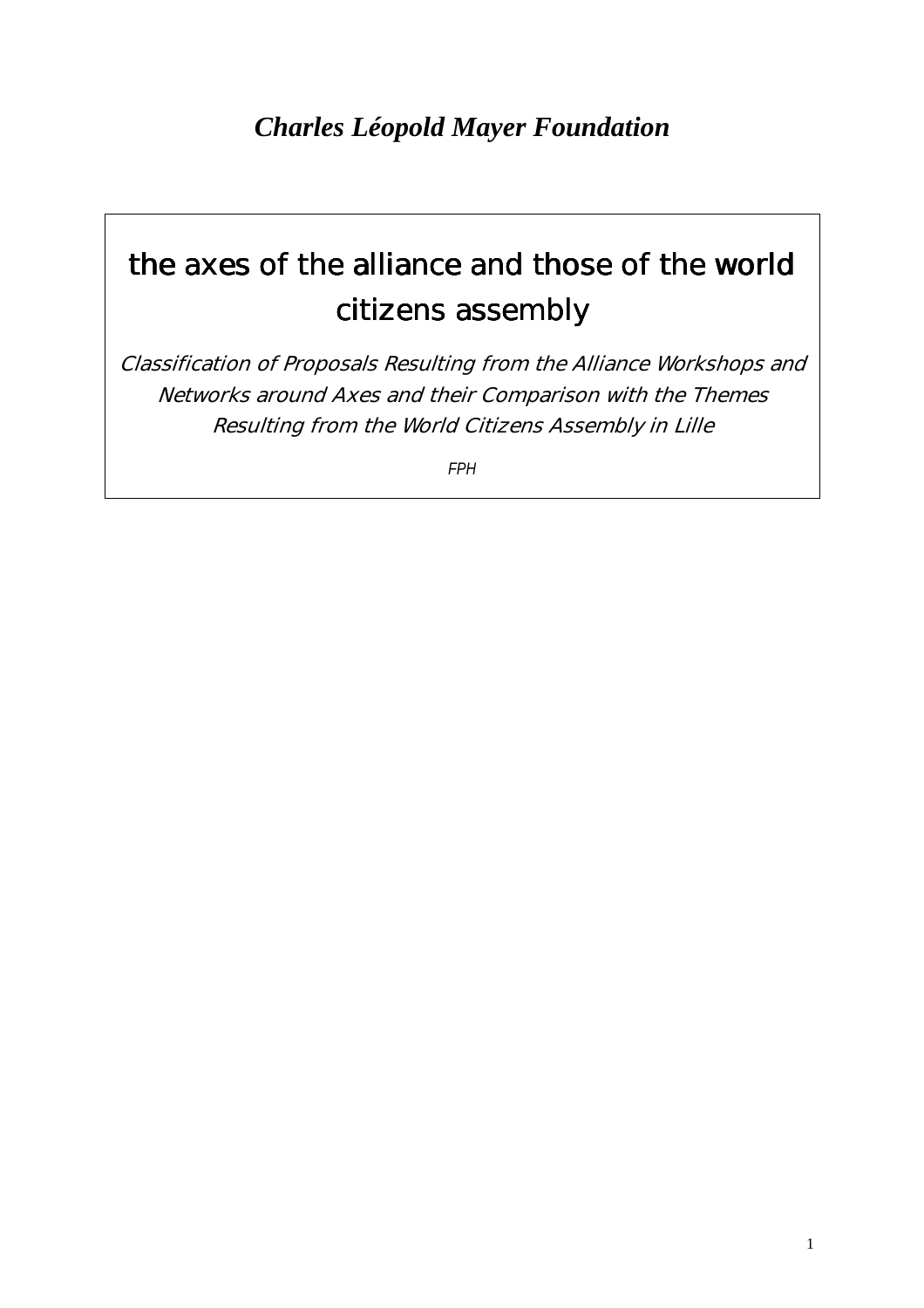# the axes of the alliance and those of the world citizens assembly

Classification of Proposals Resulting from the Alliance Workshops and Networks around Axes and their Comparison with the Themes Resulting from the World Citizens Assembly in Lille

*FPH*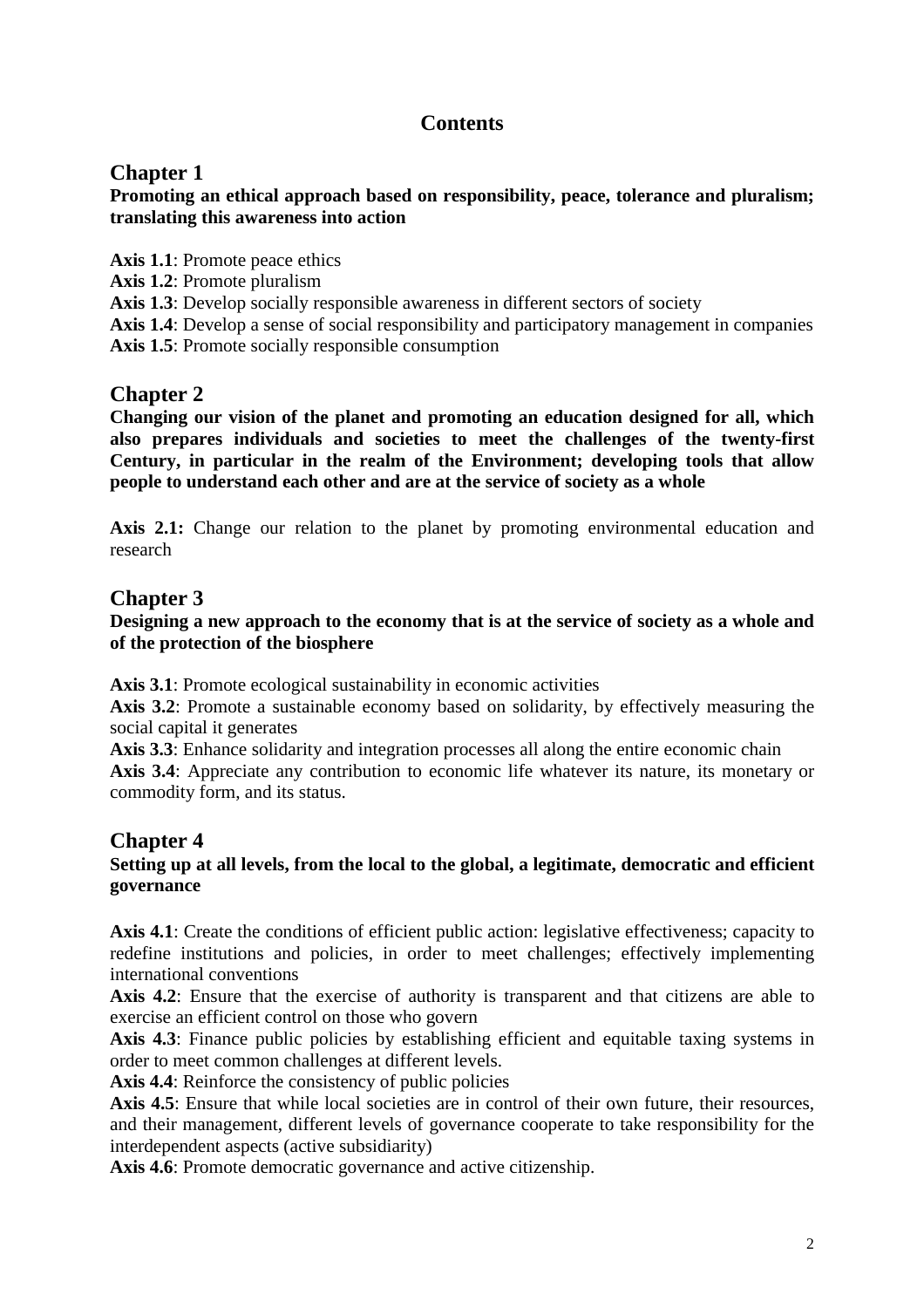# **Contents**

## **Chapter 1**

**Promoting an ethical approach based on responsibility, peace, tolerance and pluralism; translating this awareness into action** 

**Axis 1.1**: Promote peace ethics

**Axis 1.2**: Promote pluralism

**Axis 1.3**: Develop socially responsible awareness in different sectors of society

**Axis 1.4**: Develop a sense of social responsibility and participatory management in companies

**Axis 1.5**: Promote socially responsible consumption

## **Chapter 2**

**Changing our vision of the planet and promoting an education designed for all, which also prepares individuals and societies to meet the challenges of the twenty-first Century, in particular in the realm of the Environment; developing tools that allow people to understand each other and are at the service of society as a whole** 

Axis 2.1: Change our relation to the planet by promoting environmental education and research

## **Chapter 3**

#### **Designing a new approach to the economy that is at the service of society as a whole and of the protection of the biosphere**

**Axis 3.1**: Promote ecological sustainability in economic activities

**Axis 3.2**: Promote a sustainable economy based on solidarity, by effectively measuring the social capital it generates

Axis 3.3: Enhance solidarity and integration processes all along the entire economic chain **Axis 3.4**: Appreciate any contribution to economic life whatever its nature, its monetary or commodity form, and its status.

### **Chapter 4**

#### **Setting up at all levels, from the local to the global, a legitimate, democratic and efficient governance**

Axis 4.1: Create the conditions of efficient public action: legislative effectiveness; capacity to redefine institutions and policies, in order to meet challenges; effectively implementing international conventions

Axis 4.2: Ensure that the exercise of authority is transparent and that citizens are able to exercise an efficient control on those who govern

Axis 4.3: Finance public policies by establishing efficient and equitable taxing systems in order to meet common challenges at different levels.

**Axis 4.4**: Reinforce the consistency of public policies

Axis 4.5: Ensure that while local societies are in control of their own future, their resources, and their management, different levels of governance cooperate to take responsibility for the interdependent aspects (active subsidiarity)

**Axis 4.6**: Promote democratic governance and active citizenship.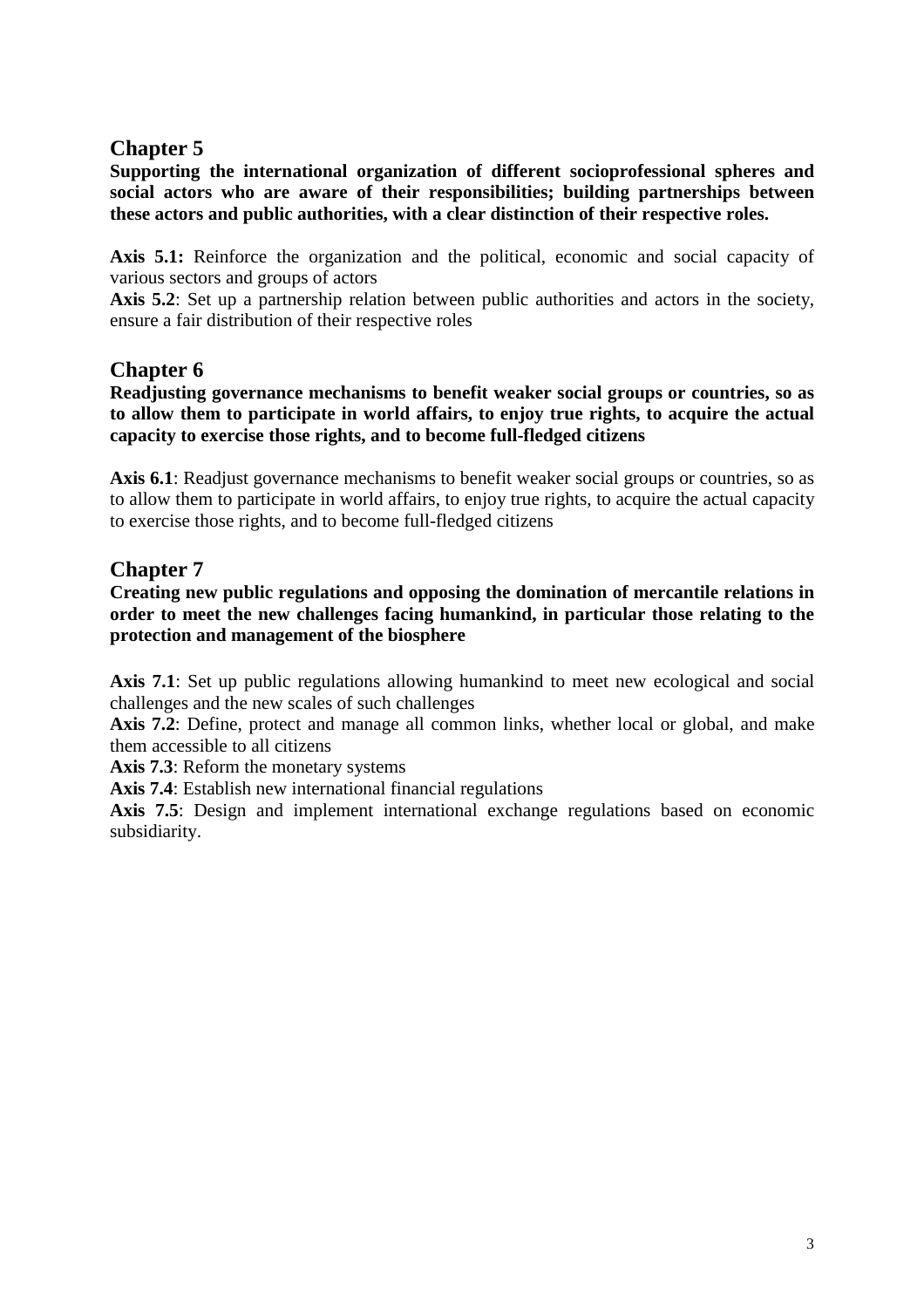## **Chapter 5**

**Supporting the international organization of different socioprofessional spheres and social actors who are aware of their responsibilities; building partnerships between these actors and public authorities, with a clear distinction of their respective roles.** 

**Axis 5.1:** Reinforce the organization and the political, economic and social capacity of various sectors and groups of actors

Axis 5.2: Set up a partnership relation between public authorities and actors in the society, ensure a fair distribution of their respective roles

## **Chapter 6**

**Readjusting governance mechanisms to benefit weaker social groups or countries, so as to allow them to participate in world affairs, to enjoy true rights, to acquire the actual capacity to exercise those rights, and to become full-fledged citizens** 

Axis 6.1: Readjust governance mechanisms to benefit weaker social groups or countries, so as to allow them to participate in world affairs, to enjoy true rights, to acquire the actual capacity to exercise those rights, and to become full-fledged citizens

## **Chapter 7**

**Creating new public regulations and opposing the domination of mercantile relations in order to meet the new challenges facing humankind, in particular those relating to the protection and management of the biosphere** 

Axis 7.1: Set up public regulations allowing humankind to meet new ecological and social challenges and the new scales of such challenges

**Axis 7.2**: Define, protect and manage all common links, whether local or global, and make them accessible to all citizens

**Axis 7.3**: Reform the monetary systems

**Axis 7.4**: Establish new international financial regulations

**Axis 7.5**: Design and implement international exchange regulations based on economic subsidiarity.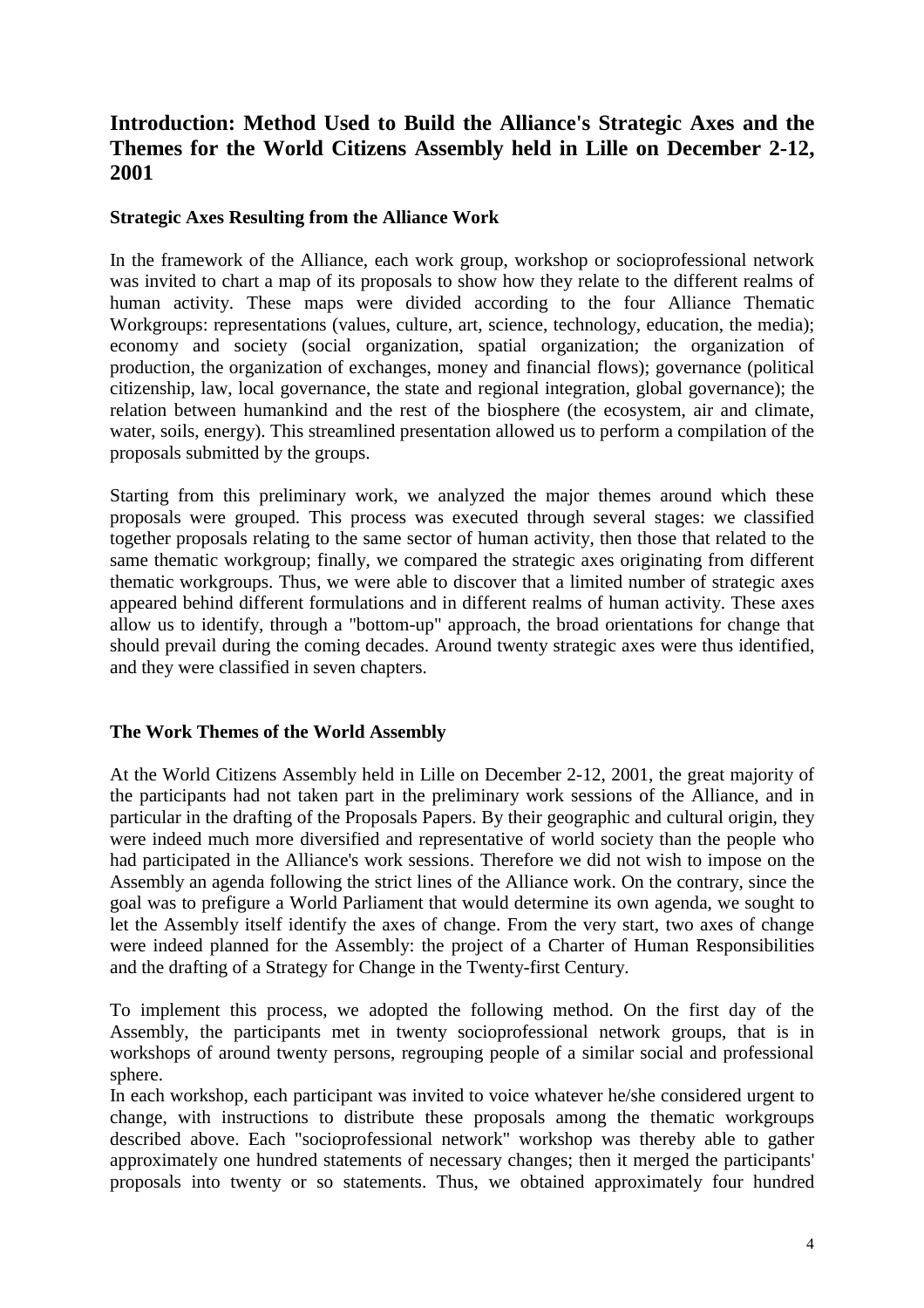## **Introduction: Method Used to Build the Alliance's Strategic Axes and the Themes for the World Citizens Assembly held in Lille on December 2-12, 2001**

#### **Strategic Axes Resulting from the Alliance Work**

In the framework of the Alliance, each work group, workshop or socioprofessional network was invited to chart a map of its proposals to show how they relate to the different realms of human activity. These maps were divided according to the four Alliance Thematic Workgroups: representations (values, culture, art, science, technology, education, the media); economy and society (social organization, spatial organization; the organization of production, the organization of exchanges, money and financial flows); governance (political citizenship, law, local governance, the state and regional integration, global governance); the relation between humankind and the rest of the biosphere (the ecosystem, air and climate, water, soils, energy). This streamlined presentation allowed us to perform a compilation of the proposals submitted by the groups.

Starting from this preliminary work, we analyzed the major themes around which these proposals were grouped. This process was executed through several stages: we classified together proposals relating to the same sector of human activity, then those that related to the same thematic workgroup; finally, we compared the strategic axes originating from different thematic workgroups. Thus, we were able to discover that a limited number of strategic axes appeared behind different formulations and in different realms of human activity. These axes allow us to identify, through a "bottom-up" approach, the broad orientations for change that should prevail during the coming decades. Around twenty strategic axes were thus identified, and they were classified in seven chapters.

#### **The Work Themes of the World Assembly**

At the World Citizens Assembly held in Lille on December 2-12, 2001, the great majority of the participants had not taken part in the preliminary work sessions of the Alliance, and in particular in the drafting of the Proposals Papers. By their geographic and cultural origin, they were indeed much more diversified and representative of world society than the people who had participated in the Alliance's work sessions. Therefore we did not wish to impose on the Assembly an agenda following the strict lines of the Alliance work. On the contrary, since the goal was to prefigure a World Parliament that would determine its own agenda, we sought to let the Assembly itself identify the axes of change. From the very start, two axes of change were indeed planned for the Assembly: the project of a Charter of Human Responsibilities and the drafting of a Strategy for Change in the Twenty-first Century.

To implement this process, we adopted the following method. On the first day of the Assembly, the participants met in twenty socioprofessional network groups, that is in workshops of around twenty persons, regrouping people of a similar social and professional sphere.

In each workshop, each participant was invited to voice whatever he/she considered urgent to change, with instructions to distribute these proposals among the thematic workgroups described above. Each "socioprofessional network" workshop was thereby able to gather approximately one hundred statements of necessary changes; then it merged the participants' proposals into twenty or so statements. Thus, we obtained approximately four hundred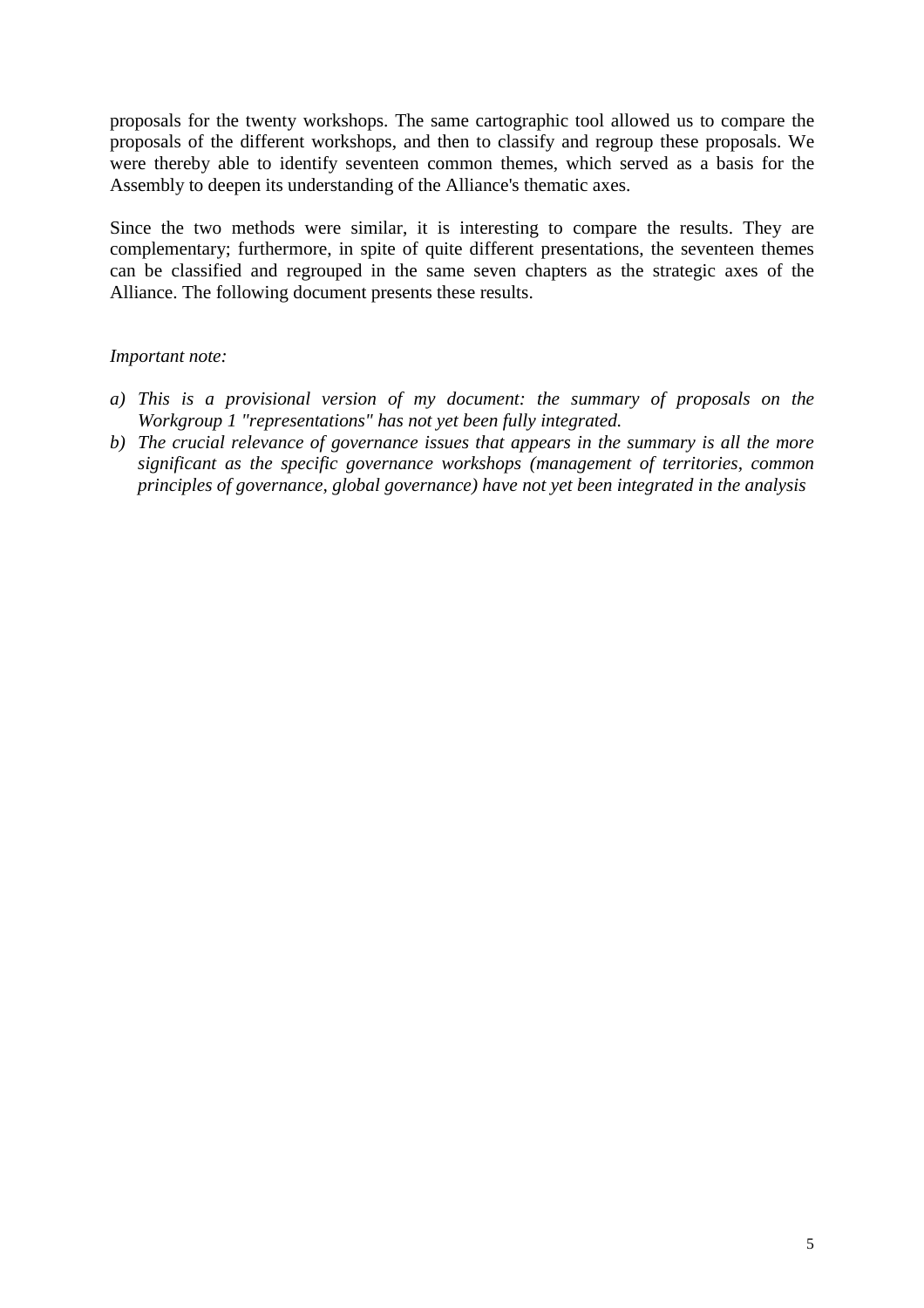proposals for the twenty workshops. The same cartographic tool allowed us to compare the proposals of the different workshops, and then to classify and regroup these proposals. We were thereby able to identify seventeen common themes, which served as a basis for the Assembly to deepen its understanding of the Alliance's thematic axes.

Since the two methods were similar, it is interesting to compare the results. They are complementary; furthermore, in spite of quite different presentations, the seventeen themes can be classified and regrouped in the same seven chapters as the strategic axes of the Alliance. The following document presents these results.

#### *Important note:*

- *a) This is a provisional version of my document: the summary of proposals on the Workgroup 1 "representations" has not yet been fully integrated.*
- *b) The crucial relevance of governance issues that appears in the summary is all the more significant as the specific governance workshops (management of territories, common principles of governance, global governance) have not yet been integrated in the analysis*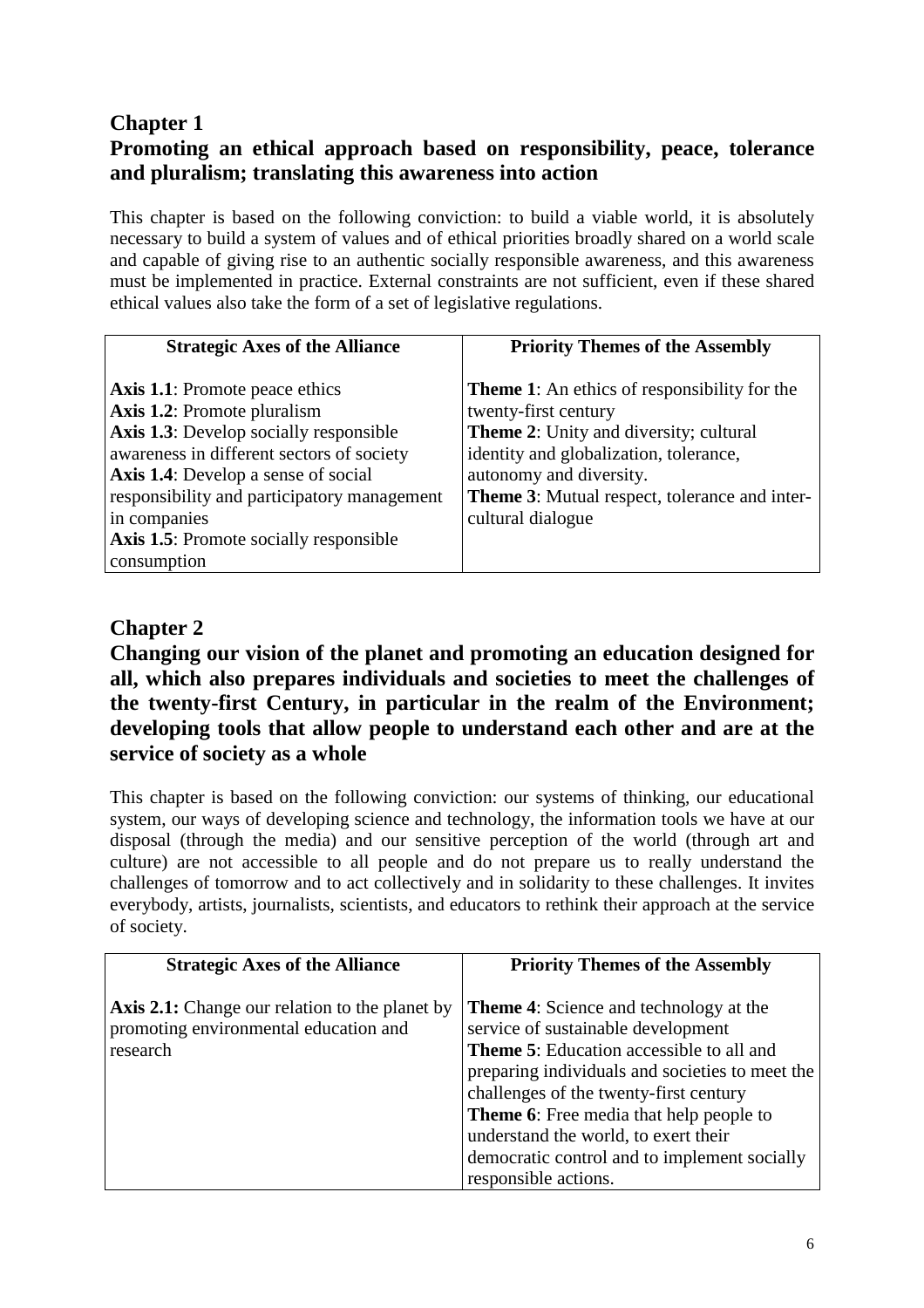# **Chapter 1 Promoting an ethical approach based on responsibility, peace, tolerance and pluralism; translating this awareness into action**

This chapter is based on the following conviction: to build a viable world, it is absolutely necessary to build a system of values and of ethical priorities broadly shared on a world scale and capable of giving rise to an authentic socially responsible awareness, and this awareness must be implemented in practice. External constraints are not sufficient, even if these shared ethical values also take the form of a set of legislative regulations.

| <b>Strategic Axes of the Alliance</b>                 | <b>Priority Themes of the Assembly</b>               |
|-------------------------------------------------------|------------------------------------------------------|
| <b>Axis 1.1:</b> Promote peace ethics                 | <b>Theme 1:</b> An ethics of responsibility for the  |
| <b>Axis 1.2:</b> Promote pluralism                    | twenty-first century                                 |
| <b>Axis 1.3:</b> Develop socially responsible         | <b>Theme 2:</b> Unity and diversity; cultural        |
| awareness in different sectors of society             | identity and globalization, tolerance,               |
| <b>Axis 1.4:</b> Develop a sense of social            | autonomy and diversity.                              |
| responsibility and participatory management           | <b>Theme 3:</b> Mutual respect, tolerance and inter- |
| in companies                                          | cultural dialogue                                    |
| Axis 1.5: Promote socially responsible<br>consumption |                                                      |

# **Chapter 2**

**Changing our vision of the planet and promoting an education designed for all, which also prepares individuals and societies to meet the challenges of the twenty-first Century, in particular in the realm of the Environment; developing tools that allow people to understand each other and are at the service of society as a whole** 

This chapter is based on the following conviction: our systems of thinking, our educational system, our ways of developing science and technology, the information tools we have at our disposal (through the media) and our sensitive perception of the world (through art and culture) are not accessible to all people and do not prepare us to really understand the challenges of tomorrow and to act collectively and in solidarity to these challenges. It invites everybody, artists, journalists, scientists, and educators to rethink their approach at the service of society.

| <b>Strategic Axes of the Alliance</b>                                                                      | <b>Priority Themes of the Assembly</b>                                                                                                                                                                                                                                                                                                                                                                |
|------------------------------------------------------------------------------------------------------------|-------------------------------------------------------------------------------------------------------------------------------------------------------------------------------------------------------------------------------------------------------------------------------------------------------------------------------------------------------------------------------------------------------|
| <b>Axis 2.1:</b> Change our relation to the planet by<br>promoting environmental education and<br>research | <b>Theme 4:</b> Science and technology at the<br>service of sustainable development<br><b>Theme 5:</b> Education accessible to all and<br>preparing individuals and societies to meet the<br>challenges of the twenty-first century<br><b>Theme 6:</b> Free media that help people to<br>understand the world, to exert their<br>democratic control and to implement socially<br>responsible actions. |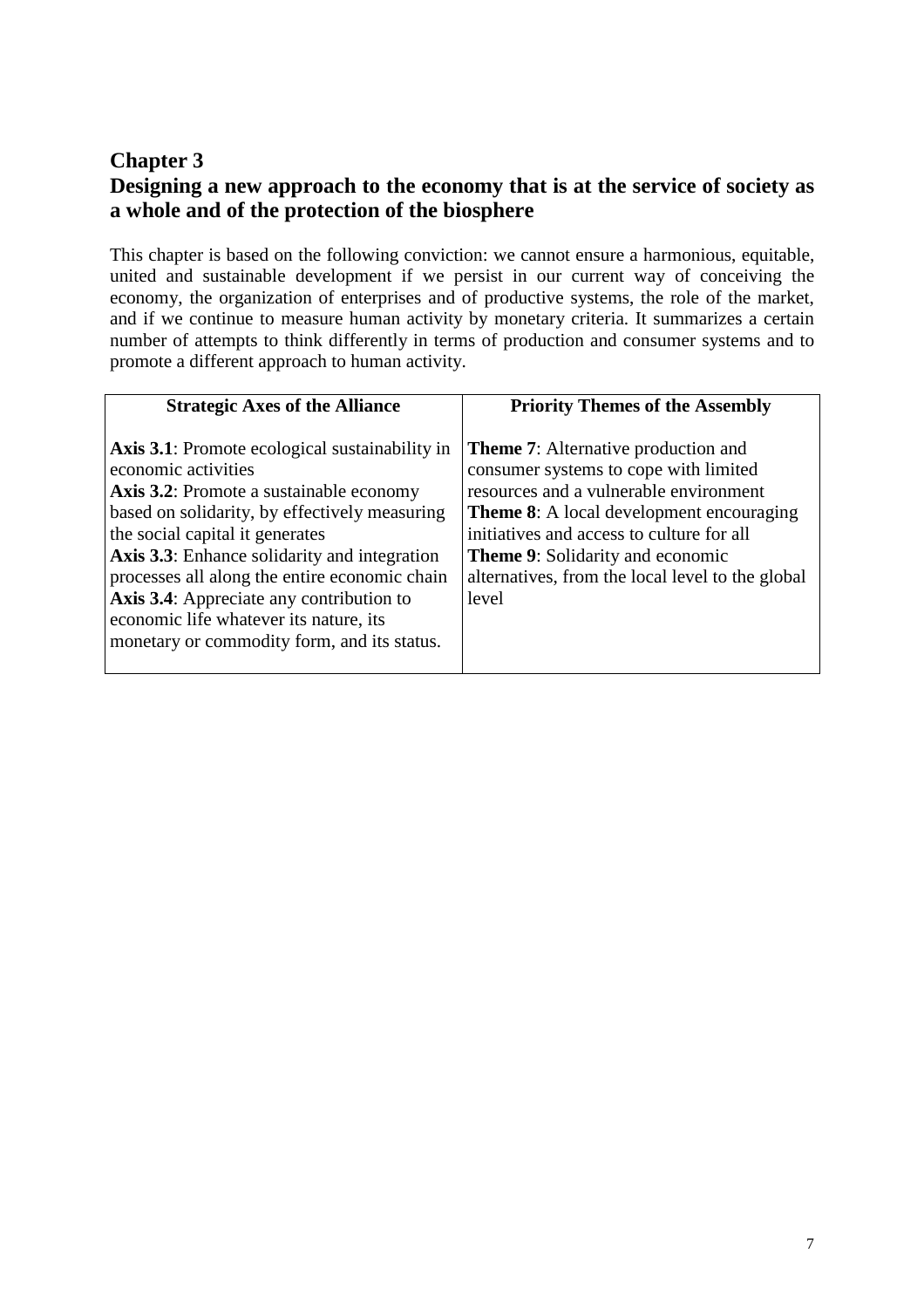# **Chapter 3 Designing a new approach to the economy that is at the service of society as a whole and of the protection of the biosphere**

This chapter is based on the following conviction: we cannot ensure a harmonious, equitable, united and sustainable development if we persist in our current way of conceiving the economy, the organization of enterprises and of productive systems, the role of the market, and if we continue to measure human activity by monetary criteria. It summarizes a certain number of attempts to think differently in terms of production and consumer systems and to promote a different approach to human activity.

| <b>Strategic Axes of the Alliance</b>                                                                                                                                                                                                                                                                                                                                                                                                                    | <b>Priority Themes of the Assembly</b>                                                                                                                                                                                                                                                                                                |
|----------------------------------------------------------------------------------------------------------------------------------------------------------------------------------------------------------------------------------------------------------------------------------------------------------------------------------------------------------------------------------------------------------------------------------------------------------|---------------------------------------------------------------------------------------------------------------------------------------------------------------------------------------------------------------------------------------------------------------------------------------------------------------------------------------|
| <b>Axis 3.1:</b> Promote ecological sustainability in<br>economic activities<br><b>Axis 3.2:</b> Promote a sustainable economy<br>based on solidarity, by effectively measuring<br>the social capital it generates<br>Axis 3.3: Enhance solidarity and integration<br>processes all along the entire economic chain<br>Axis 3.4: Appreciate any contribution to<br>economic life whatever its nature, its<br>monetary or commodity form, and its status. | <b>Theme 7:</b> Alternative production and<br>consumer systems to cope with limited<br>resources and a vulnerable environment<br><b>Theme 8:</b> A local development encouraging<br>initiatives and access to culture for all<br><b>Theme 9:</b> Solidarity and economic<br>alternatives, from the local level to the global<br>level |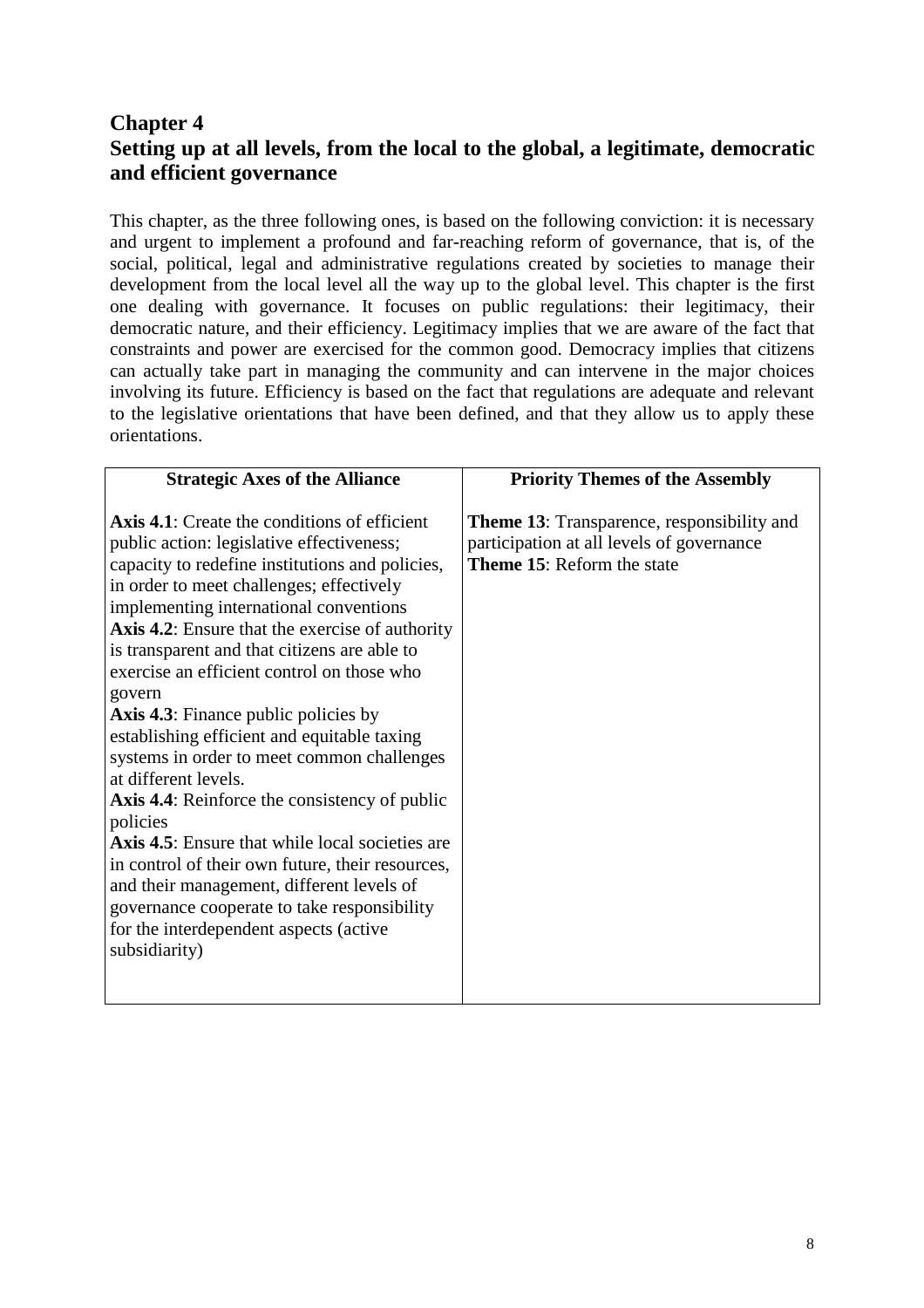# **Chapter 4 Setting up at all levels, from the local to the global, a legitimate, democratic and efficient governance**

This chapter, as the three following ones, is based on the following conviction: it is necessary and urgent to implement a profound and far-reaching reform of governance, that is, of the social, political, legal and administrative regulations created by societies to manage their development from the local level all the way up to the global level. This chapter is the first one dealing with governance. It focuses on public regulations: their legitimacy, their democratic nature, and their efficiency. Legitimacy implies that we are aware of the fact that constraints and power are exercised for the common good. Democracy implies that citizens can actually take part in managing the community and can intervene in the major choices involving its future. Efficiency is based on the fact that regulations are adequate and relevant to the legislative orientations that have been defined, and that they allow us to apply these orientations.

| <b>Strategic Axes of the Alliance</b>                                                                                                                                                                                                                                                                                                                                                                                                                                                                                                                                                                                                                                                                                                                                                                                                                                                                                    | <b>Priority Themes of the Assembly</b>                                                                                              |
|--------------------------------------------------------------------------------------------------------------------------------------------------------------------------------------------------------------------------------------------------------------------------------------------------------------------------------------------------------------------------------------------------------------------------------------------------------------------------------------------------------------------------------------------------------------------------------------------------------------------------------------------------------------------------------------------------------------------------------------------------------------------------------------------------------------------------------------------------------------------------------------------------------------------------|-------------------------------------------------------------------------------------------------------------------------------------|
| <b>Axis 4.1:</b> Create the conditions of efficient<br>public action: legislative effectiveness;<br>capacity to redefine institutions and policies,<br>in order to meet challenges; effectively<br>implementing international conventions<br><b>Axis 4.2:</b> Ensure that the exercise of authority<br>is transparent and that citizens are able to<br>exercise an efficient control on those who<br>govern<br><b>Axis 4.3:</b> Finance public policies by<br>establishing efficient and equitable taxing<br>systems in order to meet common challenges<br>at different levels.<br><b>Axis 4.4:</b> Reinforce the consistency of public<br>policies<br><b>Axis 4.5:</b> Ensure that while local societies are<br>in control of their own future, their resources,<br>and their management, different levels of<br>governance cooperate to take responsibility<br>for the interdependent aspects (active<br>subsidiarity) | <b>Theme 13:</b> Transparence, responsibility and<br>participation at all levels of governance<br><b>Theme 15: Reform the state</b> |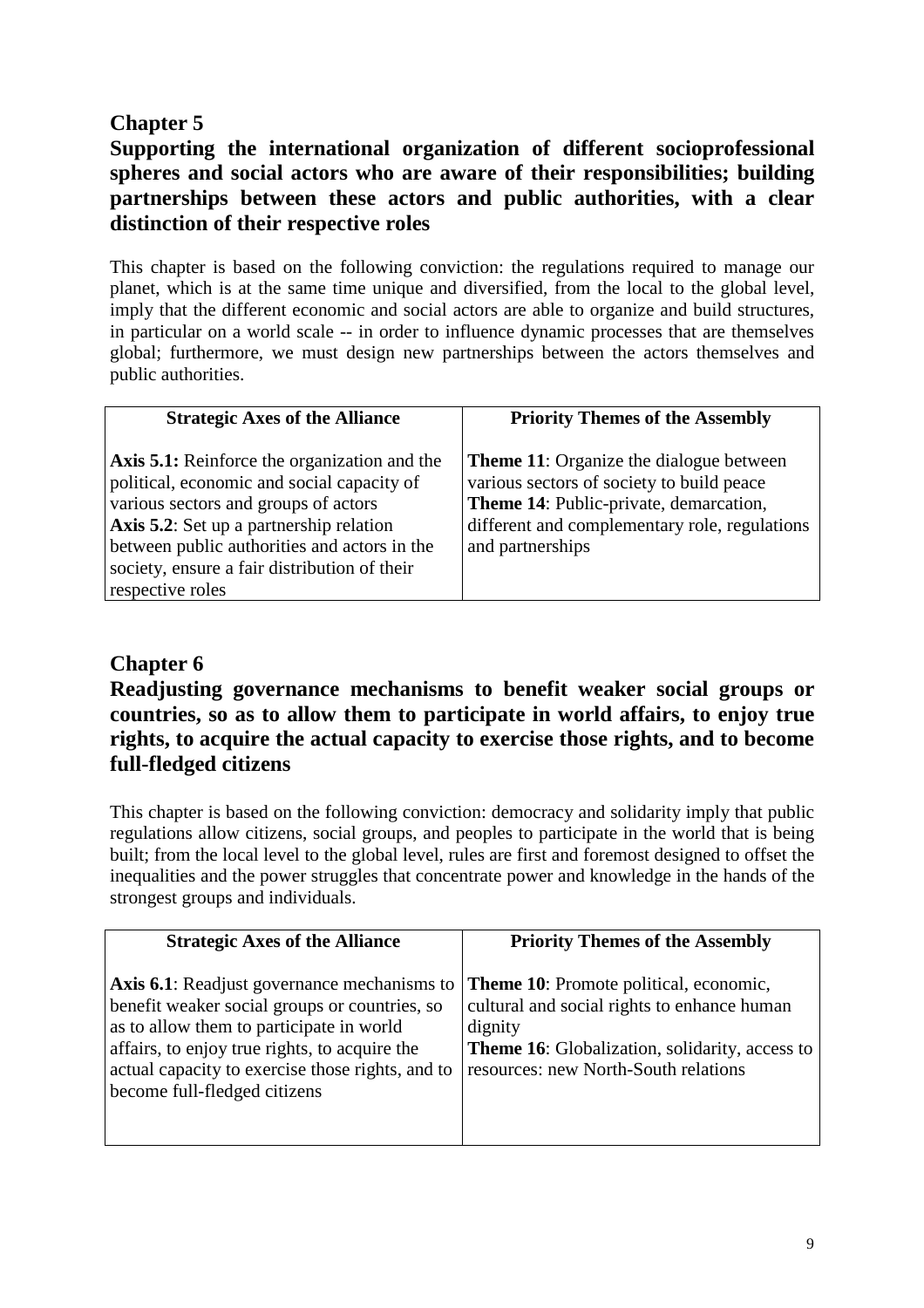# **Chapter 5**

# **Supporting the international organization of different socioprofessional spheres and social actors who are aware of their responsibilities; building partnerships between these actors and public authorities, with a clear distinction of their respective roles**

This chapter is based on the following conviction: the regulations required to manage our planet, which is at the same time unique and diversified, from the local to the global level, imply that the different economic and social actors are able to organize and build structures, in particular on a world scale -- in order to influence dynamic processes that are themselves global; furthermore, we must design new partnerships between the actors themselves and public authorities.

| <b>Strategic Axes of the Alliance</b>                                                                                                                                                                                                                                                                    | <b>Priority Themes of the Assembly</b>                                                                                                                                                                            |
|----------------------------------------------------------------------------------------------------------------------------------------------------------------------------------------------------------------------------------------------------------------------------------------------------------|-------------------------------------------------------------------------------------------------------------------------------------------------------------------------------------------------------------------|
| <b>Axis 5.1:</b> Reinforce the organization and the<br>political, economic and social capacity of<br>various sectors and groups of actors<br>Axis 5.2: Set up a partnership relation<br>between public authorities and actors in the<br>society, ensure a fair distribution of their<br>respective roles | <b>Theme 11:</b> Organize the dialogue between<br>various sectors of society to build peace<br><b>Theme 14: Public-private, demarcation,</b><br>different and complementary role, regulations<br>and partnerships |

## **Chapter 6**

**Readjusting governance mechanisms to benefit weaker social groups or countries, so as to allow them to participate in world affairs, to enjoy true rights, to acquire the actual capacity to exercise those rights, and to become full-fledged citizens** 

This chapter is based on the following conviction: democracy and solidarity imply that public regulations allow citizens, social groups, and peoples to participate in the world that is being built; from the local level to the global level, rules are first and foremost designed to offset the inequalities and the power struggles that concentrate power and knowledge in the hands of the strongest groups and individuals.

| <b>Strategic Axes of the Alliance</b>                                                                                                                                                                                                                                                | <b>Priority Themes of the Assembly</b>                                                                                                                                                            |
|--------------------------------------------------------------------------------------------------------------------------------------------------------------------------------------------------------------------------------------------------------------------------------------|---------------------------------------------------------------------------------------------------------------------------------------------------------------------------------------------------|
| <b>Axis 6.1:</b> Readjust governance mechanisms to<br>benefit weaker social groups or countries, so<br>as to allow them to participate in world<br>affairs, to enjoy true rights, to acquire the<br>actual capacity to exercise those rights, and to<br>become full-fledged citizens | Theme 10: Promote political, economic,<br>cultural and social rights to enhance human<br>dignity<br><b>Theme 16:</b> Globalization, solidarity, access to<br>resources: new North-South relations |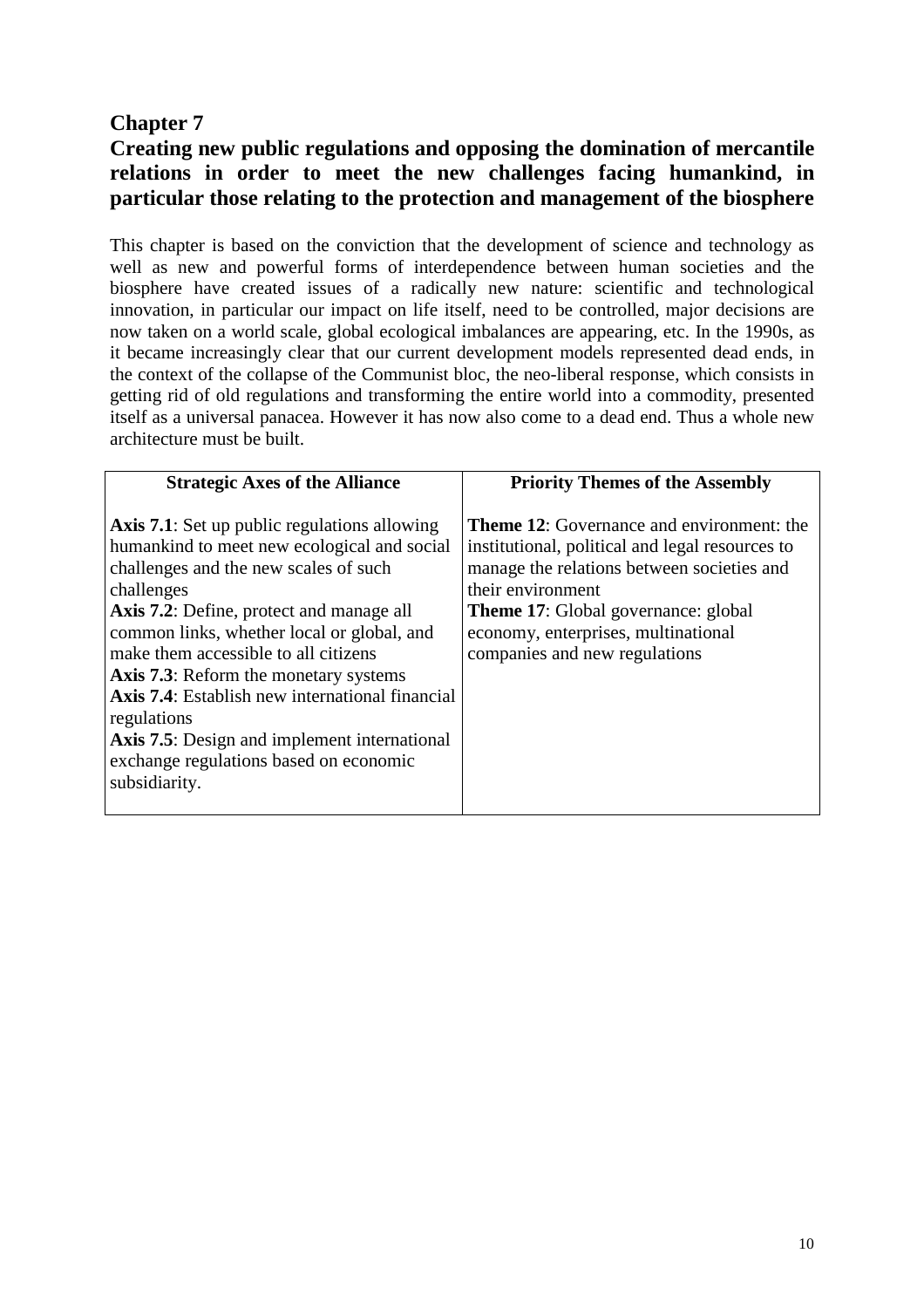## **Chapter 7**

# **Creating new public regulations and opposing the domination of mercantile relations in order to meet the new challenges facing humankind, in particular those relating to the protection and management of the biosphere**

This chapter is based on the conviction that the development of science and technology as well as new and powerful forms of interdependence between human societies and the biosphere have created issues of a radically new nature: scientific and technological innovation, in particular our impact on life itself, need to be controlled, major decisions are now taken on a world scale, global ecological imbalances are appearing, etc. In the 1990s, as it became increasingly clear that our current development models represented dead ends, in the context of the collapse of the Communist bloc, the neo-liberal response, which consists in getting rid of old regulations and transforming the entire world into a commodity, presented itself as a universal panacea. However it has now also come to a dead end. Thus a whole new architecture must be built.

| <b>Strategic Axes of the Alliance</b>                                                                                                                                                                                                                                                                                                                                                                                                                                                                                                         | <b>Priority Themes of the Assembly</b>                                                                                                                                                                                                                                                       |
|-----------------------------------------------------------------------------------------------------------------------------------------------------------------------------------------------------------------------------------------------------------------------------------------------------------------------------------------------------------------------------------------------------------------------------------------------------------------------------------------------------------------------------------------------|----------------------------------------------------------------------------------------------------------------------------------------------------------------------------------------------------------------------------------------------------------------------------------------------|
| <b>Axis 7.1:</b> Set up public regulations allowing<br>humankind to meet new ecological and social<br>challenges and the new scales of such<br>challenges<br><b>Axis 7.2:</b> Define, protect and manage all<br>common links, whether local or global, and<br>make them accessible to all citizens<br><b>Axis 7.3:</b> Reform the monetary systems<br><b>Axis 7.4:</b> Establish new international financial<br>regulations<br><b>Axis 7.5:</b> Design and implement international<br>exchange regulations based on economic<br>subsidiarity. | <b>Theme 12:</b> Governance and environment: the<br>institutional, political and legal resources to<br>manage the relations between societies and<br>their environment<br><b>Theme 17:</b> Global governance: global<br>economy, enterprises, multinational<br>companies and new regulations |